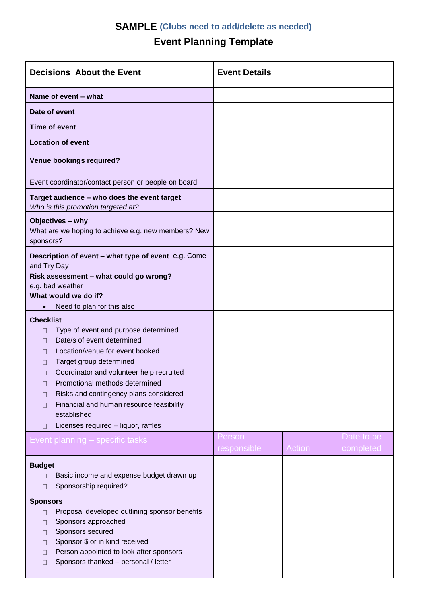## **SAMPLE (Clubs need to add/delete as needed)**

## **Event Planning Template**

| <b>Decisions About the Event</b>                                                                                                                                                                                                                                                                                                                                                                                                 | <b>Event Details</b>  |               |                         |
|----------------------------------------------------------------------------------------------------------------------------------------------------------------------------------------------------------------------------------------------------------------------------------------------------------------------------------------------------------------------------------------------------------------------------------|-----------------------|---------------|-------------------------|
| Name of event - what                                                                                                                                                                                                                                                                                                                                                                                                             |                       |               |                         |
| Date of event                                                                                                                                                                                                                                                                                                                                                                                                                    |                       |               |                         |
| <b>Time of event</b>                                                                                                                                                                                                                                                                                                                                                                                                             |                       |               |                         |
| <b>Location of event</b>                                                                                                                                                                                                                                                                                                                                                                                                         |                       |               |                         |
| <b>Venue bookings required?</b>                                                                                                                                                                                                                                                                                                                                                                                                  |                       |               |                         |
| Event coordinator/contact person or people on board                                                                                                                                                                                                                                                                                                                                                                              |                       |               |                         |
| Target audience - who does the event target<br>Who is this promotion targeted at?                                                                                                                                                                                                                                                                                                                                                |                       |               |                         |
| Objectives - why<br>What are we hoping to achieve e.g. new members? New<br>sponsors?                                                                                                                                                                                                                                                                                                                                             |                       |               |                         |
| Description of event - what type of event e.g. Come<br>and Try Day                                                                                                                                                                                                                                                                                                                                                               |                       |               |                         |
| Risk assessment - what could go wrong?<br>e.g. bad weather<br>What would we do if?                                                                                                                                                                                                                                                                                                                                               |                       |               |                         |
| Need to plan for this also<br>$\bullet$                                                                                                                                                                                                                                                                                                                                                                                          |                       |               |                         |
| <b>Checklist</b><br>Type of event and purpose determined<br>0<br>Date/s of event determined<br>П<br>Location/venue for event booked<br>$\Box$<br>Target group determined<br>П<br>Coordinator and volunteer help recruited<br>Ш<br>Promotional methods determined<br>u<br>Risks and contingency plans considered<br>П<br>Financial and human resource feasibility<br>П<br>established<br>Licenses required - liquor, raffles<br>П |                       |               |                         |
| Event planning – specific tasks                                                                                                                                                                                                                                                                                                                                                                                                  | Person<br>responsible | <b>Action</b> | Date to be<br>completed |
| <b>Budget</b><br>Basic income and expense budget drawn up<br>П<br>Sponsorship required?<br>П                                                                                                                                                                                                                                                                                                                                     |                       |               |                         |
| <b>Sponsors</b><br>Proposal developed outlining sponsor benefits<br>0<br>Sponsors approached<br>П<br>Sponsors secured<br>$\mathsf{L}$<br>Sponsor \$ or in kind received<br>П<br>Person appointed to look after sponsors<br>П<br>Sponsors thanked - personal / letter                                                                                                                                                             |                       |               |                         |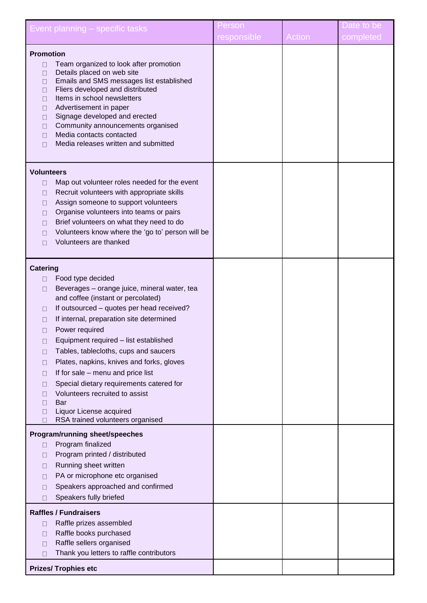|                                | Event planning - specific tasks                                 | Person      |        | Date to be |
|--------------------------------|-----------------------------------------------------------------|-------------|--------|------------|
|                                |                                                                 | responsible | Action | completed  |
| <b>Promotion</b>               |                                                                 |             |        |            |
| П                              | Team organized to look after promotion                          |             |        |            |
| П                              | Details placed on web site                                      |             |        |            |
| П                              | Emails and SMS messages list established                        |             |        |            |
| $\Box$<br>П                    | Fliers developed and distributed<br>Items in school newsletters |             |        |            |
| $\Box$                         | Advertisement in paper                                          |             |        |            |
| $\Box$                         | Signage developed and erected                                   |             |        |            |
| П                              | Community announcements organised                               |             |        |            |
| $\mathsf{L}$                   | Media contacts contacted                                        |             |        |            |
| $\mathsf{L}$                   | Media releases written and submitted                            |             |        |            |
|                                |                                                                 |             |        |            |
| <b>Volunteers</b>              |                                                                 |             |        |            |
| □                              | Map out volunteer roles needed for the event                    |             |        |            |
| П                              | Recruit volunteers with appropriate skills                      |             |        |            |
| П                              | Assign someone to support volunteers                            |             |        |            |
| $\mathsf{L}$                   | Organise volunteers into teams or pairs                         |             |        |            |
| $\mathsf{L}$                   | Brief volunteers on what they need to do                        |             |        |            |
| П                              | Volunteers know where the 'go to' person will be                |             |        |            |
| $\mathsf{L}$                   | Volunteers are thanked                                          |             |        |            |
|                                |                                                                 |             |        |            |
| <b>Catering</b>                |                                                                 |             |        |            |
| П                              | Food type decided                                               |             |        |            |
| П                              | Beverages - orange juice, mineral water, tea                    |             |        |            |
|                                | and coffee (instant or percolated)                              |             |        |            |
| □                              | If outsourced - quotes per head received?                       |             |        |            |
| П                              | If internal, preparation site determined                        |             |        |            |
| П                              | Power required                                                  |             |        |            |
| $\Box$                         | Equipment required - list established                           |             |        |            |
| П                              | Tables, tablecloths, cups and saucers                           |             |        |            |
| $\mathsf{L}$                   | Plates, napkins, knives and forks, gloves                       |             |        |            |
| П                              | If for sale - menu and price list                               |             |        |            |
| П                              | Special dietary requirements catered for                        |             |        |            |
| $\mathsf{L}$                   | Volunteers recruited to assist                                  |             |        |            |
| П<br>П                         | Bar<br>Liquor License acquired                                  |             |        |            |
| П                              | RSA trained volunteers organised                                |             |        |            |
| Program/running sheet/speeches |                                                                 |             |        |            |
| Ш                              | Program finalized                                               |             |        |            |
| П                              | Program printed / distributed                                   |             |        |            |
| $\mathsf{L}$                   | Running sheet written                                           |             |        |            |
| $\mathsf{L}$                   | PA or microphone etc organised                                  |             |        |            |
| П                              | Speakers approached and confirmed                               |             |        |            |
| П                              | Speakers fully briefed                                          |             |        |            |
| <b>Raffles / Fundraisers</b>   |                                                                 |             |        |            |
| $\Box$                         | Raffle prizes assembled                                         |             |        |            |
| П                              | Raffle books purchased                                          |             |        |            |
| $\mathsf{L}$                   | Raffle sellers organised                                        |             |        |            |
| П                              | Thank you letters to raffle contributors                        |             |        |            |
| <b>Prizes/ Trophies etc</b>    |                                                                 |             |        |            |
|                                |                                                                 |             |        |            |